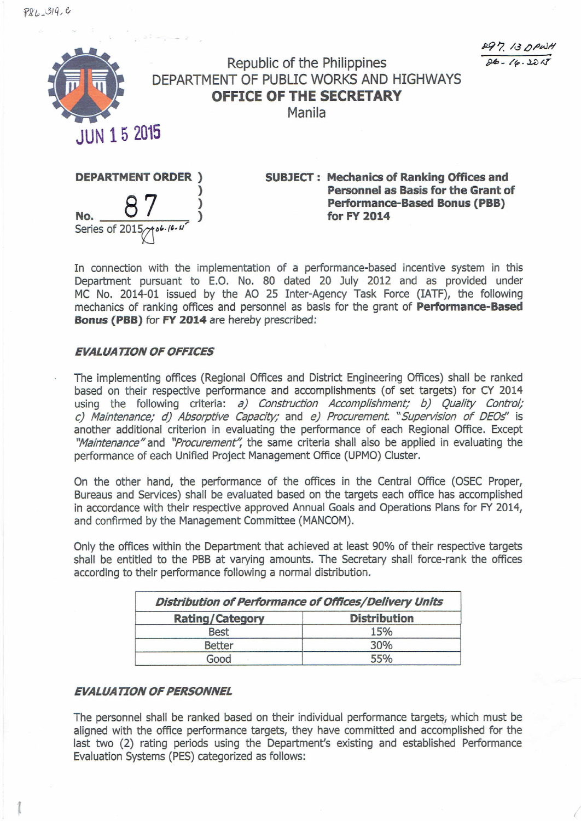$P86 - 319,0$ 

*/lfl'l. M 1)/'..J8* !).I>- */f-.UMT*

*I*



## **Republic of the Philippines DEPARTMENT OF PUBLIC WORKS AND HIGHWAYS OFFICE OF THE SECRETARY**

**Manila**



**SUBJECT: Mechanics of Ranking Offices and Personnel as Basis for the Grant of Performance-Based Bonus (PBB) for FY 2014**

In connection with the implementation of a performance-based incentive system in this Department pursuant to E.O. No. 80 dated 20 July 2012 and as provided under MC No. 2014-01 issued by the AO 25 Inter-Agency Task Force (IATF), the following mechanics of ranking offices and personnel as basis for the grant of **Performance-Based Bonus (PBB)** for **FY 2014** are hereby prescribed:

## *EVALUA TION OF OFFICES*

The implementing offices (Regional Offices and District Engineering Offices) shall be ranked based on their respective performance and accomplishments (of set targets) for CY 2014 using the following criteria: *a) Construction Accomplishment; b) Quality Control; c) Maintenance; d) Absorptive Capacity;* and *e) Procurement. "Supervision of DEOs'* is another additional criterion in evaluating the performance of each Regional Office. Except *''Maintenance''* and *"Procurement';* the same criteria shall also be applied in evaluating the performance of each Unified Project Management Office (UPMO) Cluster.

On the other hand, the performance of the offices in the Central Office (OSEC Proper, Bureaus and Services) shall be evaluated based on the targets each office has accomplished in accordance with their respective approved Annual Goals and Operations Plans for FY 2014, and confirmed by the Management Committee (MANCOM).

Only the offices within the Department that achieved at least 90% of their respective targets shall be entitled to the PBB at varying amounts. The Secretary shall force-rank the offices according to their performance following a normal distribution.

| <b>Distribution of Performance of Offices/Delivery Units</b> |     |  |
|--------------------------------------------------------------|-----|--|
| <b>Distribution</b><br><b>Rating/Category</b>                |     |  |
| <b>Best</b>                                                  | 15% |  |
| <b>Better</b>                                                | 30% |  |
| Good                                                         | 55% |  |

## *EVALUATION OF PERSONNEL*

<sup>I</sup> t

The personnel shall be ranked based on their individual performance targets; which must be aligned with the office performance targets, they have committed and accomplished for the last two (2) rating periods using the Department's existing and established Performance Evaluation Systems (PES) categorized as follows: